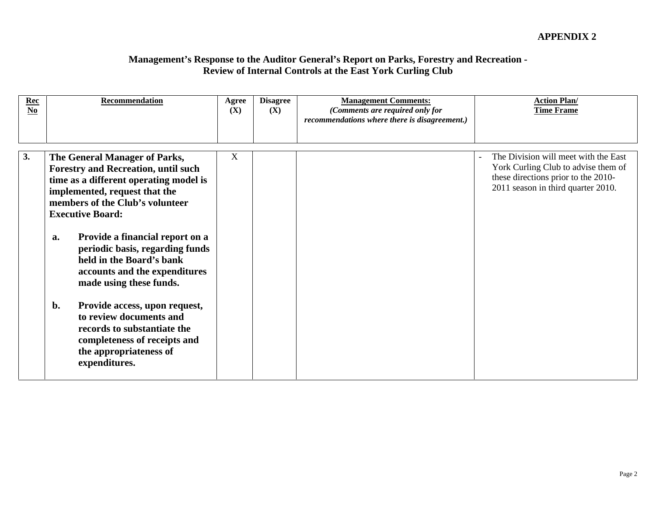| $\frac{Rec}{No}$ | Recommendation                                                                                                                                                                                                       | Agree Disagree $(X)$ $(X)$ | <b>Management Comments:</b><br>(Comments are required only for<br>recommendations where there is disagreement.) | <b>Action Plan/</b><br><b>Time Frame</b>                                                                                                                 |
|------------------|----------------------------------------------------------------------------------------------------------------------------------------------------------------------------------------------------------------------|----------------------------|-----------------------------------------------------------------------------------------------------------------|----------------------------------------------------------------------------------------------------------------------------------------------------------|
|                  | The General Manager of Parks,<br><b>Forestry and Recreation, until such</b><br>time as a different operating model is<br>implemented, request that the<br>members of the Club's volunteer<br><b>Executive Board:</b> |                            |                                                                                                                 | The Division will meet with the East<br>York Curling Club to advise them of<br>these directions prior to the 2010-<br>2011 season in third quarter 2010. |
|                  | Provide a financial report on a<br>a<br>periodic basis, regarding funds<br>held in the Board's bank<br>accounts and the expenditures<br>made using these funds.                                                      |                            |                                                                                                                 |                                                                                                                                                          |
|                  | Provide access, upon request,<br>to review documents and<br>records to substantiate the<br>completeness of receipts and<br>the appropriateness of<br>expenditures.                                                   |                            |                                                                                                                 |                                                                                                                                                          |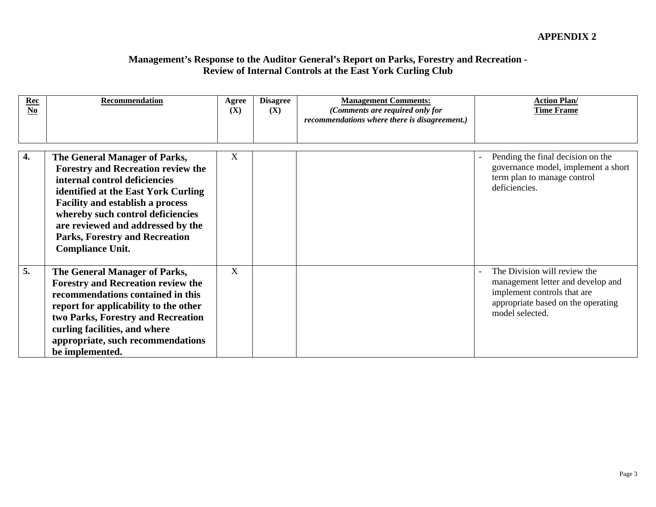| $\frac{Rec}{No}$ | Recommendation                                                                                                                                                                                                                                                                                                                              | Agree<br>(X) | <b>Disagree</b><br>(X) | <b>Management Comments:</b><br>(Comments are required only for<br>recommendations where there is disagreement.) | <b>Action Plan/</b><br><b>Time Frame</b>                                                                                                                  |
|------------------|---------------------------------------------------------------------------------------------------------------------------------------------------------------------------------------------------------------------------------------------------------------------------------------------------------------------------------------------|--------------|------------------------|-----------------------------------------------------------------------------------------------------------------|-----------------------------------------------------------------------------------------------------------------------------------------------------------|
|                  | The General Manager of Parks,<br><b>Forestry and Recreation review the</b><br>internal control deficiencies<br>identified at the East York Curling<br><b>Facility and establish a process</b><br>whereby such control deficiencies<br>are reviewed and addressed by the<br><b>Parks, Forestry and Recreation</b><br><b>Compliance Unit.</b> |              |                        |                                                                                                                 | Pending the final decision on the<br>governance model, implement a short<br>term plan to manage control<br>deficiencies.                                  |
|                  | The General Manager of Parks,<br><b>Forestry and Recreation review the</b><br>recommendations contained in this<br>report for applicability to the other<br>two Parks, Forestry and Recreation<br>curling facilities, and where<br>appropriate, such recommendations<br>be implemented.                                                     | $\mathbf{v}$ |                        |                                                                                                                 | The Division will review the<br>management letter and develop and<br>implement controls that are<br>appropriate based on the operating<br>model selected. |